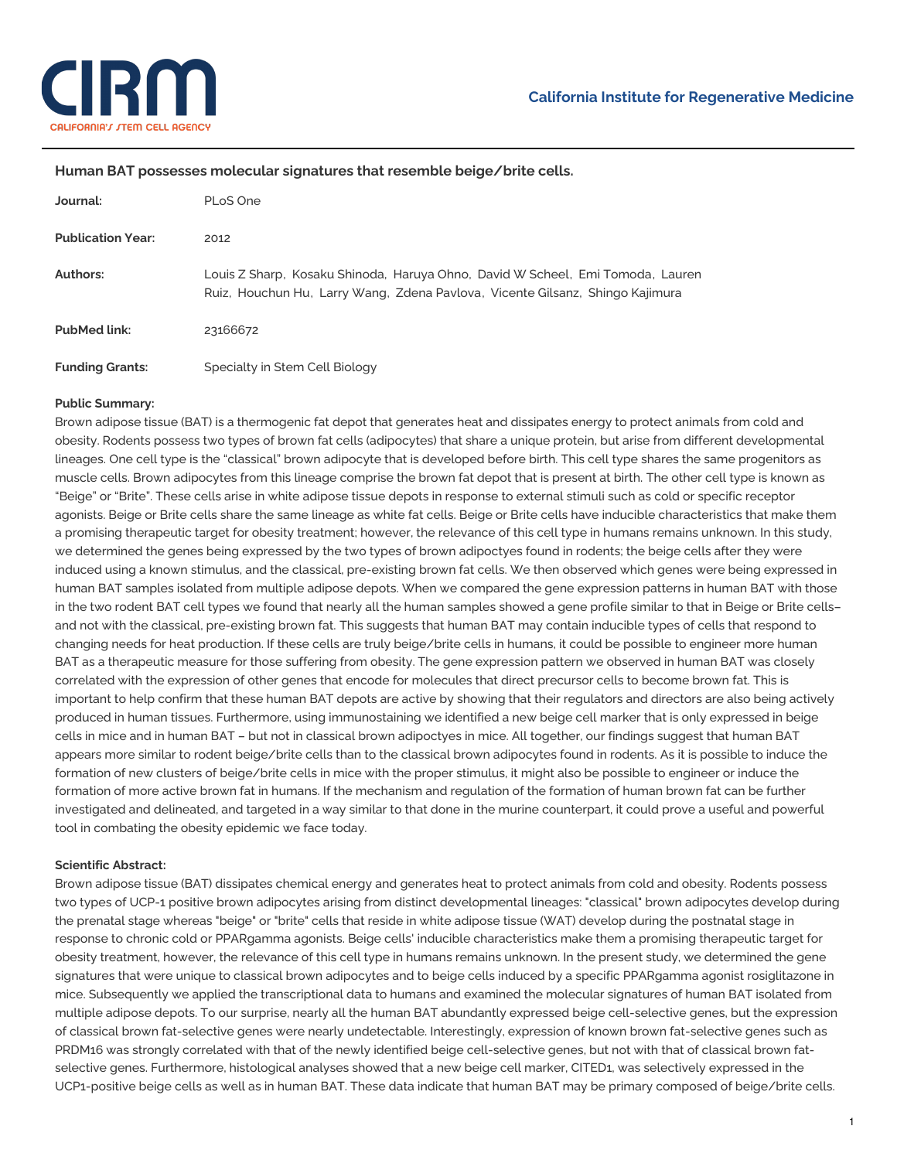

## **Human BAT possesses molecular signatures that resemble beige/brite cells.**

| Journal:                 | PLoS One                                                                                                                                                        |
|--------------------------|-----------------------------------------------------------------------------------------------------------------------------------------------------------------|
| <b>Publication Year:</b> | 2012                                                                                                                                                            |
| Authors:                 | Louis Z Sharp, Kosaku Shinoda, Haruya Ohno, David W Scheel, Emi Tomoda, Lauren<br>Ruiz, Houchun Hu, Larry Wang, Zdena Pavlova, Vicente Gilsanz, Shingo Kajimura |
| <b>PubMed link:</b>      | 23166672                                                                                                                                                        |
| <b>Funding Grants:</b>   | Specialty in Stem Cell Biology                                                                                                                                  |

## **Public Summary:**

Brown adipose tissue (BAT) is a thermogenic fat depot that generates heat and dissipates energy to protect animals from cold and obesity. Rodents possess two types of brown fat cells (adipocytes) that share a unique protein, but arise from different developmental lineages. One cell type is the "classical" brown adipocyte that is developed before birth. This cell type shares the same progenitors as muscle cells. Brown adipocytes from this lineage comprise the brown fat depot that is present at birth. The other cell type is known as "Beige" or "Brite". These cells arise in white adipose tissue depots in response to external stimuli such as cold or specific receptor agonists. Beige or Brite cells share the same lineage as white fat cells. Beige or Brite cells have inducible characteristics that make them a promising therapeutic target for obesity treatment; however, the relevance of this cell type in humans remains unknown. In this study, we determined the genes being expressed by the two types of brown adipoctyes found in rodents; the beige cells after they were induced using a known stimulus, and the classical, pre-existing brown fat cells. We then observed which genes were being expressed in human BAT samples isolated from multiple adipose depots. When we compared the gene expression patterns in human BAT with those in the two rodent BAT cell types we found that nearly all the human samples showed a gene profile similar to that in Beige or Brite cells– and not with the classical, pre-existing brown fat. This suggests that human BAT may contain inducible types of cells that respond to changing needs for heat production. If these cells are truly beige/brite cells in humans, it could be possible to engineer more human BAT as a therapeutic measure for those suffering from obesity. The gene expression pattern we observed in human BAT was closely correlated with the expression of other genes that encode for molecules that direct precursor cells to become brown fat. This is important to help confirm that these human BAT depots are active by showing that their regulators and directors are also being actively produced in human tissues. Furthermore, using immunostaining we identified a new beige cell marker that is only expressed in beige cells in mice and in human BAT – but not in classical brown adipoctyes in mice. All together, our findings suggest that human BAT appears more similar to rodent beige/brite cells than to the classical brown adipocytes found in rodents. As it is possible to induce the formation of new clusters of beige/brite cells in mice with the proper stimulus, it might also be possible to engineer or induce the formation of more active brown fat in humans. If the mechanism and regulation of the formation of human brown fat can be further investigated and delineated, and targeted in a way similar to that done in the murine counterpart, it could prove a useful and powerful tool in combating the obesity epidemic we face today.

## **Scientific Abstract:**

Brown adipose tissue (BAT) dissipates chemical energy and generates heat to protect animals from cold and obesity. Rodents possess two types of UCP-1 positive brown adipocytes arising from distinct developmental lineages: "classical" brown adipocytes develop during the prenatal stage whereas "beige" or "brite" cells that reside in white adipose tissue (WAT) develop during the postnatal stage in response to chronic cold or PPARgamma agonists. Beige cells' inducible characteristics make them a promising therapeutic target for obesity treatment, however, the relevance of this cell type in humans remains unknown. In the present study, we determined the gene signatures that were unique to classical brown adipocytes and to beige cells induced by a specific PPARgamma agonist rosiglitazone in mice. Subsequently we applied the transcriptional data to humans and examined the molecular signatures of human BAT isolated from multiple adipose depots. To our surprise, nearly all the human BAT abundantly expressed beige cell-selective genes, but the expression of classical brown fat-selective genes were nearly undetectable. Interestingly, expression of known brown fat-selective genes such as PRDM16 was strongly correlated with that of the newly identified beige cell-selective genes, but not with that of classical brown fatselective genes. Furthermore, histological analyses showed that a new beige cell marker, CITED1, was selectively expressed in the UCP1-positive beige cells as well as in human BAT. These data indicate that human BAT may be primary composed of beige/brite cells.